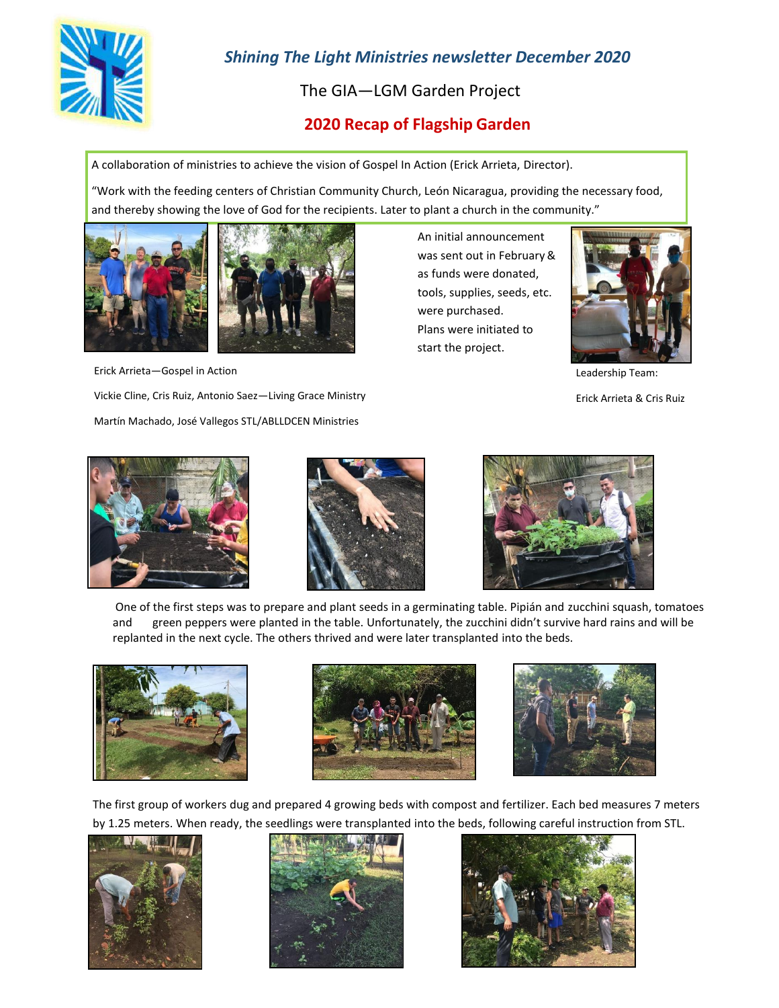

# *Shining The Light Ministries newsletter December 2020*

The GIA—LGM Garden Project

## **2020 Recap of Flagship Garden**

A collaboration of ministries to achieve the vision of Gospel In Action (Erick Arrieta, Director).

"Work with the feeding centers of Christian Community Church, León Nicaragua, providing the necessary food, and thereby showing the love of God for the recipients. Later to plant a church in the community."





Erick Arrieta—Gospel in Action

Vickie Cline, Cris Ruiz, Antonio Saez—Living Grace Ministry Martín Machado, José Vallegos STL/ABLLDCEN Ministries

An initial announcement was sent out in February & as funds were donated, tools, supplies, seeds, etc. were purchased. Plans were initiated to start the project.



Leadership Team:

Erick Arrieta & Cris Ruiz







One of the first steps was to prepare and plant seeds in a germinating table. Pipián and zucchini squash, tomatoes and green peppers were planted in the table. Unfortunately, the zucchini didn't survive hard rains and will be replanted in the next cycle. The others thrived and were later transplanted into the beds.







The first group of workers dug and prepared 4 growing beds with compost and fertilizer. Each bed measures 7 meters by 1.25 meters. When ready, the seedlings were transplanted into the beds, following careful instruction from STL.





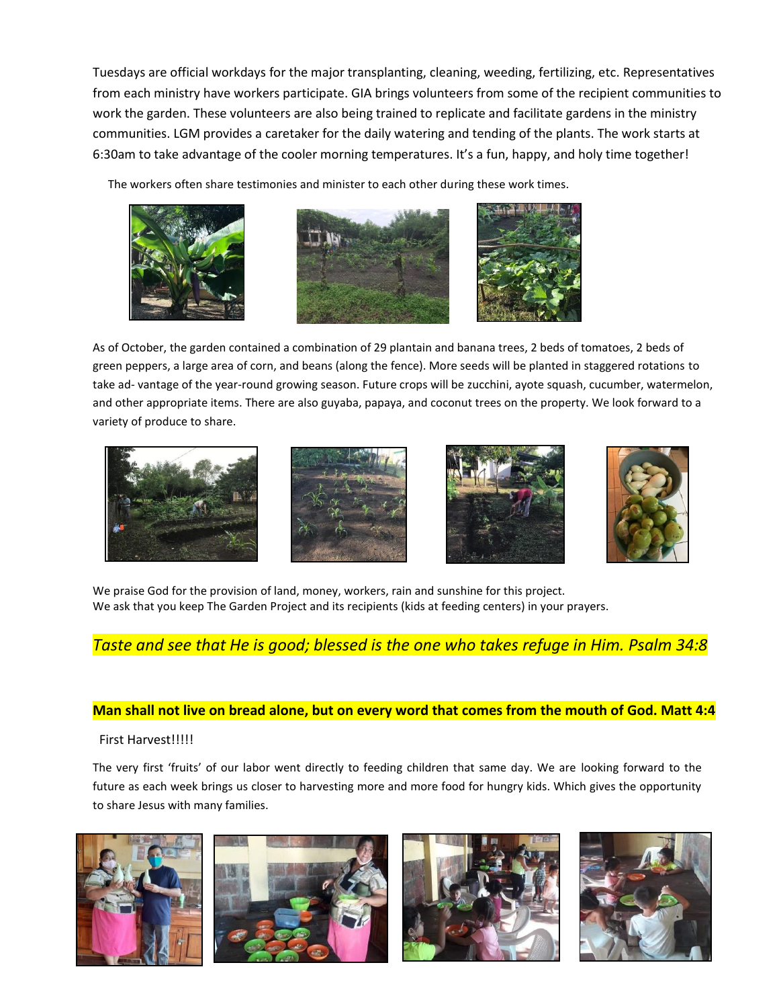Tuesdays are official workdays for the major transplanting, cleaning, weeding, fertilizing, etc. Representatives from each ministry have workers participate. GIA brings volunteers from some of the recipient communities to work the garden. These volunteers are also being trained to replicate and facilitate gardens in the ministry communities. LGM provides a caretaker for the daily watering and tending of the plants. The work starts at 6:30am to take advantage of the cooler morning temperatures. It's a fun, happy, and holy time together!

The workers often share testimonies and minister to each other during these work times.







As of October, the garden contained a combination of 29 plantain and banana trees, 2 beds of tomatoes, 2 beds of green peppers, a large area of corn, and beans (along the fence). More seeds will be planted in staggered rotations to take ad- vantage of the year-round growing season. Future crops will be zucchini, ayote squash, cucumber, watermelon, and other appropriate items. There are also guyaba, papaya, and coconut trees on the property. We look forward to a variety of produce to share.









We praise God for the provision of land, money, workers, rain and sunshine for this project. We ask that you keep The Garden Project and its recipients (kids at feeding centers) in your prayers.

## *Taste and see that He is good; blessed is the one who takes refuge in Him. Psalm 34:8*

## **Man shall not live on bread alone, but on every word that comes from the mouth of God. Matt 4:4**

### First Harvest!!!!!

The very first 'fruits' of our labor went directly to feeding children that same day. We are looking forward to the future as each week brings us closer to harvesting more and more food for hungry kids. Which gives the opportunity to share Jesus with many families.

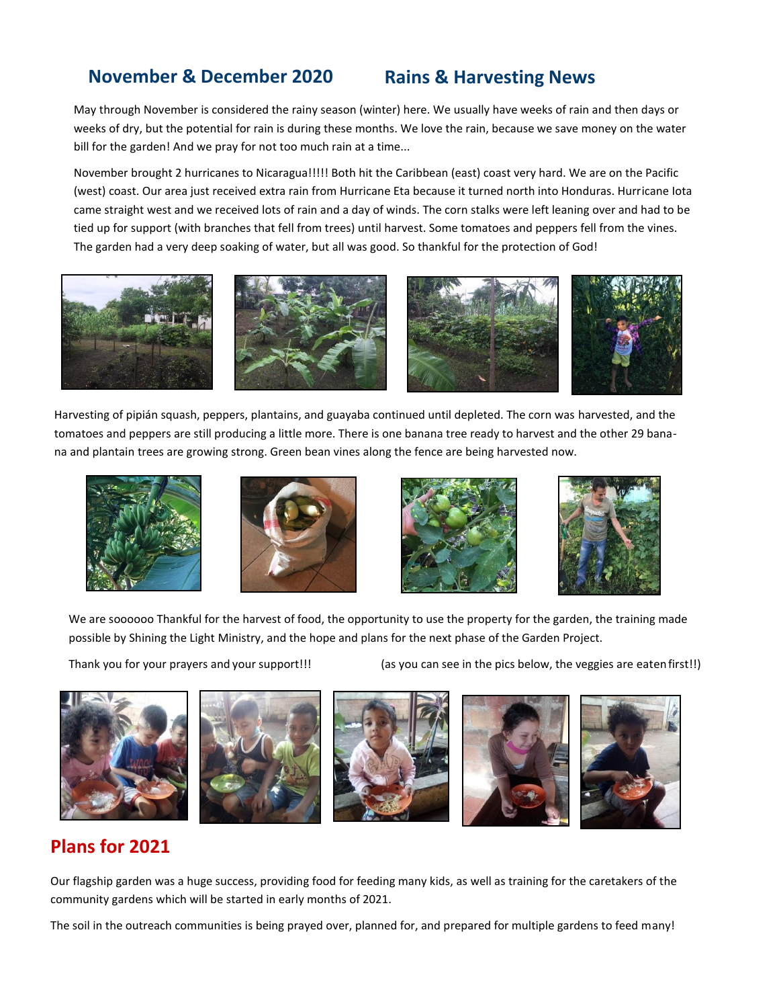## **November & December 2020 Rains & Harvesting News**

May through November is considered the rainy season (winter) here. We usually have weeks of rain and then days or weeks of dry, but the potential for rain is during these months. We love the rain, because we save money on the water bill for the garden! And we pray for not too much rain at a time...

November brought 2 hurricanes to Nicaragua!!!!! Both hit the Caribbean (east) coast very hard. We are on the Pacific (west) coast. Our area just received extra rain from Hurricane Eta because it turned north into Honduras. Hurricane Iota came straight west and we received lots of rain and a day of winds. The corn stalks were left leaning over and had to be tied up for support (with branches that fell from trees) until harvest. Some tomatoes and peppers fell from the vines. The garden had a very deep soaking of water, but all was good. So thankful for the protection of God!



Harvesting of pipián squash, peppers, plantains, and guayaba continued until depleted. The corn was harvested, and the tomatoes and peppers are still producing a little more. There is one banana tree ready to harvest and the other 29 banana and plantain trees are growing strong. Green bean vines along the fence are being harvested now.









We are soooooo Thankful for the harvest of food, the opportunity to use the property for the garden, the training made possible by Shining the Light Ministry, and the hope and plans for the next phase of the Garden Project.

Thank you for your prayers and your support!!! (as you can see in the pics below, the veggies are eaten first!!)



# **Plans for 2021**

Our flagship garden was a huge success, providing food for feeding many kids, as well as training for the caretakers of the community gardens which will be started in early months of 2021.

The soil in the outreach communities is being prayed over, planned for, and prepared for multiple gardens to feed many!